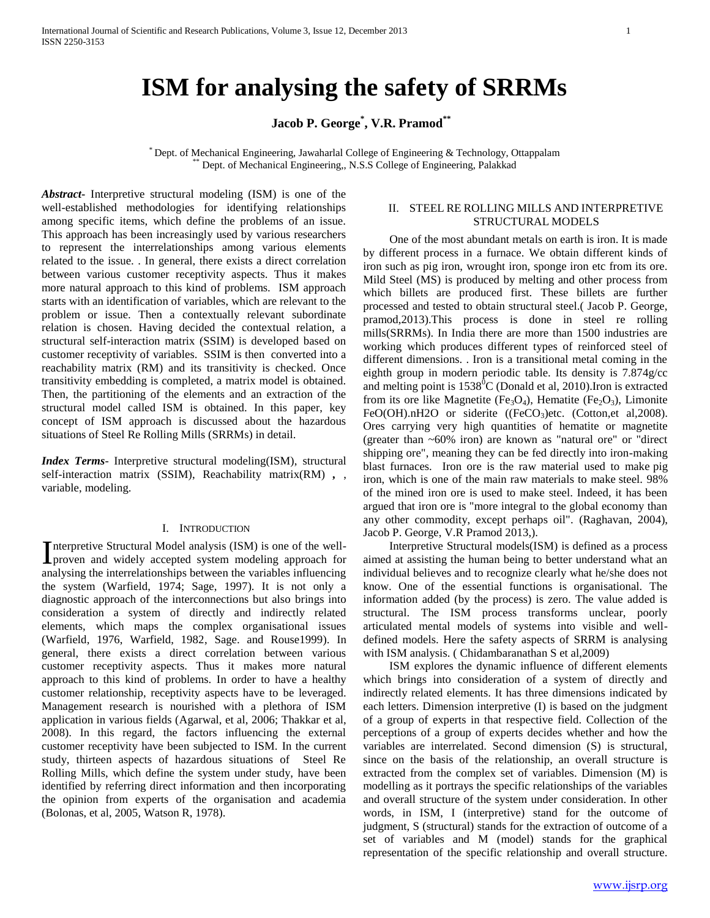# **ISM for analysing the safety of SRRMs**

# **Jacob P. George\* , V.R. Pramod\*\***

\* Dept. of Mechanical Engineering, Jawaharlal College of Engineering & Technology, Ottappalam Dept. of Mechanical Engineering,, N.S.S College of Engineering, Palakkad

*Abstract***-** Interpretive structural modeling (ISM) is one of the well-established methodologies for identifying relationships among specific items, which define the problems of an issue. This approach has been increasingly used by various researchers to represent the interrelationships among various elements related to the issue. . In general, there exists a direct correlation between various customer receptivity aspects. Thus it makes more natural approach to this kind of problems. ISM approach starts with an identification of variables, which are relevant to the problem or issue. Then a contextually relevant subordinate relation is chosen. Having decided the contextual relation, a structural self-interaction matrix (SSIM) is developed based on customer receptivity of variables. SSIM is then converted into a reachability matrix (RM) and its transitivity is checked. Once transitivity embedding is completed, a matrix model is obtained. Then, the partitioning of the elements and an extraction of the structural model called ISM is obtained. In this paper, key concept of ISM approach is discussed about the hazardous situations of Steel Re Rolling Mills (SRRMs) in detail.

*Index Terms*- Interpretive structural modeling(ISM), structural self-interaction matrix (SSIM), Reachability matrix(RM) *,* , variable, modeling.

#### I. INTRODUCTION

nterpretive Structural Model analysis (ISM) is one of the well-Interpretive Structural Model analysis (ISM) is one of the well-<br>proven and widely accepted system modeling approach for analysing the interrelationships between the variables influencing the system (Warfield, 1974; Sage, 1997). It is not only a diagnostic approach of the interconnections but also brings into consideration a system of directly and indirectly related elements, which maps the complex organisational issues (Warfield, 1976, Warfield, 1982, Sage. and Rouse1999). In general, there exists a direct correlation between various customer receptivity aspects. Thus it makes more natural approach to this kind of problems. In order to have a healthy customer relationship, receptivity aspects have to be leveraged. Management research is nourished with a plethora of ISM application in various fields (Agarwal, et al, 2006; Thakkar et al, 2008). In this regard, the factors influencing the external customer receptivity have been subjected to ISM. In the current study, thirteen aspects of hazardous situations of Steel Re Rolling Mills, which define the system under study, have been identified by referring direct information and then incorporating the opinion from experts of the organisation and academia (Bolonas, et al, 2005, Watson R, 1978).

## II. STEEL RE ROLLING MILLS AND INTERPRETIVE STRUCTURAL MODELS

 One of the most abundant metals on earth is iron. It is made by different process in a furnace. We obtain different kinds of iron such as pig iron, wrought iron, sponge iron etc from its ore. Mild Steel (MS) is produced by melting and other process from which billets are produced first. These billets are further processed and tested to obtain structural steel.( Jacob P. George, pramod,2013).This process is done in steel re rolling mills(SRRMs). In India there are more than 1500 industries are working which produces different types of reinforced steel of different dimensions. . Iron is a transitional metal coming in the eighth group in modern periodic table. Its density is 7.874g/cc and melting point is  $1538^{\circ}$ C (Donald et al, 2010).Iron is extracted from its ore like Magnetite (Fe<sub>3</sub>O<sub>4</sub>), Hematite (Fe<sub>2</sub>O<sub>3</sub>), Limonite FeO(OH).nH2O or siderite ( $(FeCO<sub>3</sub>)$ etc. (Cotton,et al,2008). Ores carrying very high quantities of hematite or magnetite (greater than ~60% iron) are known as "natural ore" or "direct shipping ore", meaning they can be fed directly into iron-making blast furnaces. Iron ore is the raw material used to make pig iron, which is one of the main raw materials to make steel. 98% of the mined iron ore is used to make steel. Indeed, it has been argued that iron ore is "more integral to the global economy than any other commodity, except perhaps oil". (Raghavan, 2004), Jacob P. George, V.R Pramod 2013,).

 Interpretive Structural models(ISM) is defined as a process aimed at assisting the human being to better understand what an individual believes and to recognize clearly what he/she does not know. One of the essential functions is organisational. The information added (by the process) is zero. The value added is structural. The ISM process transforms unclear, poorly articulated mental models of systems into visible and welldefined models. Here the safety aspects of SRRM is analysing with ISM analysis. ( Chidambaranathan S et al,2009)

 ISM explores the dynamic influence of different elements which brings into consideration of a system of directly and indirectly related elements. It has three dimensions indicated by each letters. Dimension interpretive (I) is based on the judgment of a group of experts in that respective field. Collection of the perceptions of a group of experts decides whether and how the variables are interrelated. Second dimension (S) is structural, since on the basis of the relationship, an overall structure is extracted from the complex set of variables. Dimension (M) is modelling as it portrays the specific relationships of the variables and overall structure of the system under consideration. In other words, in ISM, I (interpretive) stand for the outcome of judgment, S (structural) stands for the extraction of outcome of a set of variables and M (model) stands for the graphical representation of the specific relationship and overall structure.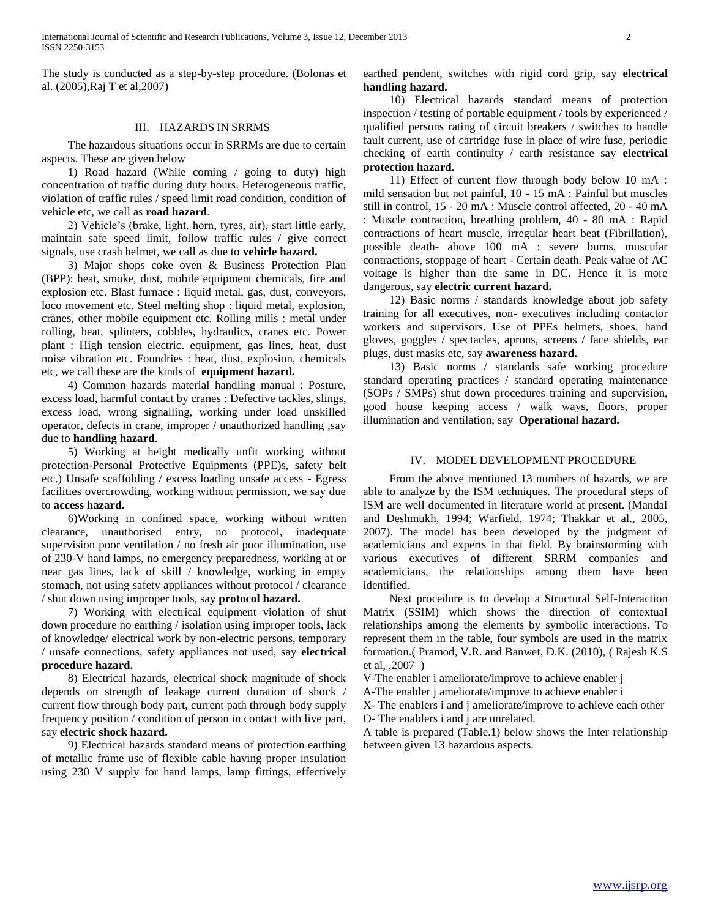The study is conducted as a step-by-step procedure. (Bolonas et al. (2005),Raj T et al,2007)

#### III. HAZARDS IN SRRMS

 The hazardous situations occur in SRRMs are due to certain aspects. These are given below

 1) Road hazard (While coming / going to duty) high concentration of traffic during duty hours. Heterogeneous traffic, violation of traffic rules / speed limit road condition, condition of vehicle etc, we call as **road hazard**.

 2) Vehicle's (brake, light. horn, tyres, air), start little early, maintain safe speed limit, follow traffic rules / give correct signals, use crash helmet, we call as due to **vehicle hazard.**

 3) Major shops coke oven & Business Protection Plan (BPP): heat, smoke, dust, mobile equipment chemicals, fire and explosion etc. Blast furnace : liquid metal, gas, dust, conveyors, loco movement etc. Steel melting shop : liquid metal, explosion, cranes, other mobile equipment etc. Rolling mills : metal under rolling, heat, splinters, cobbles, hydraulics, cranes etc. Power plant : High tension electric. equipment, gas lines, heat, dust noise vibration etc. Foundries : heat, dust, explosion, chemicals etc, we call these are the kinds of **equipment hazard.**

 4) Common hazards material handling manual : Posture, excess load, harmful contact by cranes : Defective tackles, slings, excess load, wrong signalling, working under load unskilled operator, defects in crane, improper / unauthorized handling ,say due to **handling hazard**.

 5) Working at height medically unfit working without protection-Personal Protective Equipments (PPE)s, safety belt etc.) Unsafe scaffolding / excess loading unsafe access - Egress facilities overcrowding, working without permission, we say due to **access hazard.**

 6)Working in confined space, working without written clearance, unauthorised entry, no protocol, inadequate supervision poor ventilation / no fresh air poor illumination, use of 230-V hand lamps, no emergency preparedness, working at or near gas lines, lack of skill / knowledge, working in empty stomach, not using safety appliances without protocol / clearance / shut down using improper tools, say **protocol hazard.**

 7) Working with electrical equipment violation of shut down procedure no earthing / isolation using improper tools, lack of knowledge/ electrical work by non-electric persons, temporary / unsafe connections, safety appliances not used, say **electrical procedure hazard.**

 8) Electrical hazards, electrical shock magnitude of shock depends on strength of leakage current duration of shock / current flow through body part, current path through body supply frequency position / condition of person in contact with live part, say **electric shock hazard.**

 9) Electrical hazards standard means of protection earthing of metallic frame use of flexible cable having proper insulation using 230 V supply for hand lamps, lamp fittings, effectively

earthed pendent, switches with rigid cord grip, say **electrical handling hazard.**

 10) Electrical hazards standard means of protection inspection / testing of portable equipment / tools by experienced / qualified persons rating of circuit breakers / switches to handle fault current, use of cartridge fuse in place of wire fuse, periodic checking of earth continuity / earth resistance say **electrical protection hazard.**

 11) Effect of current flow through body below 10 mA : mild sensation but not painful, 10 - 15 mA : Painful but muscles still in control, 15 - 20 mA : Muscle control affected, 20 - 40 mA : Muscle contraction, breathing problem, 40 - 80 mA : Rapid contractions of heart muscle, irregular heart beat (Fibrillation), possible death- above 100 mA : severe burns, muscular contractions, stoppage of heart - Certain death. Peak value of AC voltage is higher than the same in DC. Hence it is more dangerous, say **electric current hazard.**

 12) Basic norms / standards knowledge about job safety training for all executives, non- executives including contactor workers and supervisors. Use of PPEs helmets, shoes, hand gloves, goggles / spectacles, aprons, screens / face shields, ear plugs, dust masks etc, say **awareness hazard.**

 13) Basic norms / standards safe working procedure standard operating practices / standard operating maintenance (SOPs / SMPs) shut down procedures training and supervision, good house keeping access / walk ways, floors, proper illumination and ventilation, say **Operational hazard.**

#### IV. MODEL DEVELOPMENT PROCEDURE

 From the above mentioned 13 numbers of hazards, we are able to analyze by the ISM techniques. The procedural steps of ISM are well documented in literature world at present. (Mandal and Deshmukh, 1994; Warfield, 1974; Thakkar et al., 2005, 2007). The model has been developed by the judgment of academicians and experts in that field. By brainstorming with various executives of different SRRM companies and academicians, the relationships among them have been identified.

 Next procedure is to develop a Structural Self-Interaction Matrix (SSIM) which shows the direction of contextual relationships among the elements by symbolic interactions. To represent them in the table, four symbols are used in the matrix formation.( Pramod, V.R. and Banwet, D.K. (2010), ( Rajesh K.S et al, ,2007 )

V-The enabler i ameliorate/improve to achieve enabler j

A-The enabler j ameliorate/improve to achieve enabler i

X- The enablers i and j ameliorate/improve to achieve each other

O- The enablers i and j are unrelated.

A table is prepared (Table.1) below shows the Inter relationship between given 13 hazardous aspects.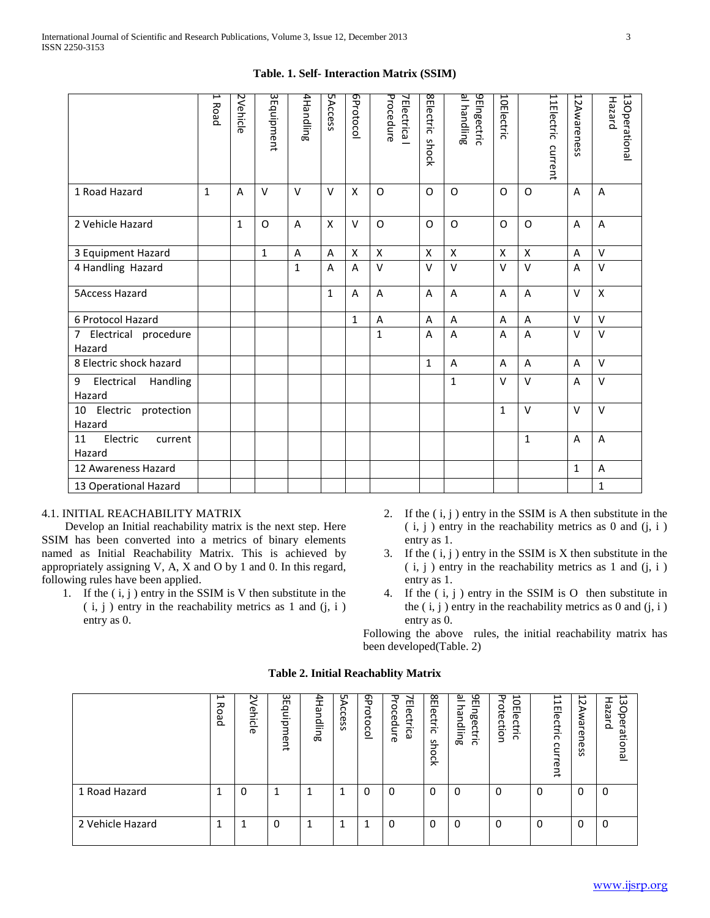# **Table. 1. Self- Interaction Matrix (SSIM)**

|                                     | Γ<br>Road    | 2Vehicle       | 3 Equipment  | 4Handling | <b>5Access</b> | GProtocol    | Procedure<br><b>7Electrica</b> | 8Electric<br>shock | al handling<br>9Elngectric | 10Electric         |                | 11Electric<br>current | 12Awareness    | 13Operational<br>Hazard |
|-------------------------------------|--------------|----------------|--------------|-----------|----------------|--------------|--------------------------------|--------------------|----------------------------|--------------------|----------------|-----------------------|----------------|-------------------------|
| 1 Road Hazard                       | $\mathbf{1}$ | $\overline{A}$ | $\vee$       | $\vee$    | $\vee$         | X            | $\Omega$                       | O                  | O                          | O                  | O              |                       | A              | A                       |
| 2 Vehicle Hazard                    |              | $\mathbf{1}$   | O            | A         | X              | $\vee$       | O                              | O                  | O                          | $\Omega$           | $\mathsf O$    |                       | A              | Α                       |
| 3 Equipment Hazard                  |              |                | $\mathbf{1}$ | A         | A              | X            | $\mathsf{x}$                   | X                  | $\pmb{\mathsf{X}}$         | $\pmb{\mathsf{X}}$ | $\mathsf{x}$   |                       | A              | $\vee$                  |
| 4 Handling Hazard                   |              |                |              | 1         | A              | A            | $\vee$                         | $\vee$             | $\vee$                     | $\vee$             | $\vee$         |                       | A              | V                       |
| <b>5Access Hazard</b>               |              |                |              |           | $\mathbf{1}$   | A            | A                              | A                  | A                          | A                  | $\overline{A}$ |                       | $\vee$         | X                       |
| 6 Protocol Hazard                   |              |                |              |           |                | $\mathbf{1}$ | $\overline{A}$                 | A                  | A                          | A                  | $\overline{A}$ |                       | V              | $\vee$                  |
| 7 Electrical procedure<br>Hazard    |              |                |              |           |                |              | $\mathbf{1}$                   | A                  | A                          | A                  | $\overline{A}$ |                       | $\vee$         | $\vee$                  |
| 8 Electric shock hazard             |              |                |              |           |                |              |                                | $\mathbf{1}$       | A                          | A                  | $\overline{A}$ |                       | A              | V                       |
| Electrical Handling<br>9<br>Hazard  |              |                |              |           |                |              |                                |                    | $\mathbf{1}$               | $\vee$             | $\vee$         |                       | $\overline{A}$ | V                       |
| 10 Electric protection<br>Hazard    |              |                |              |           |                |              |                                |                    |                            | 1                  | $\vee$         |                       | $\vee$         | $\vee$                  |
| 11<br>Electric<br>current<br>Hazard |              |                |              |           |                |              |                                |                    |                            |                    | $1\,$          |                       | A              | A                       |
| 12 Awareness Hazard                 |              |                |              |           |                |              |                                |                    |                            |                    |                |                       | $\mathbf{1}$   | A                       |
| 13 Operational Hazard               |              |                |              |           |                |              |                                |                    |                            |                    |                |                       |                | $\mathbf{1}$            |

# 4.1. INITIAL REACHABILITY MATRIX

 Develop an Initial reachability matrix is the next step. Here SSIM has been converted into a metrics of binary elements named as Initial Reachability Matrix. This is achieved by appropriately assigning V, A, X and O by 1 and 0. In this regard, following rules have been applied.

- 1. If the  $(i, j)$  entry in the SSIM is V then substitute in the  $(i, j)$  entry in the reachability metrics as 1 and  $(i, i)$ entry as 0.
- 2. If the  $(i, j)$  entry in the SSIM is A then substitute in the  $(i, j)$  entry in the reachability metrics as 0 and  $(i, i)$ entry as 1.
- 3. If the  $(i, j)$  entry in the SSIM is X then substitute in the  $(i, j)$  entry in the reachability metrics as 1 and  $(j, i)$ entry as 1.
- 4. If the ( i, j ) entry in the SSIM is O then substitute in the  $(i, j)$  entry in the reachability metrics as 0 and  $(i, i)$ entry as 0.

Following the above rules, the initial reachability matrix has been developed(Table. 2)

|                  | د<br>ᅎ<br>O<br>٥Ď | N<br>모<br>--<br>icie | 3Equip<br>ment | 4Handling | νS<br>$\Omega$<br>Ces<br>$\omega$ | d9<br>¬<br>ă<br>$\circ$<br>Ō<br>$\circ$ | Procedure<br>Electrica | 18<br>൹<br>čțri<br>$\Omega$<br>S<br>ᡱ<br>0<br>훗 | <u> ച</u><br>9EIngectric<br>⊃<br>ق<br>으<br>Ξ.<br>അ | 곡<br>⊢<br>o<br>ote<br>m<br>–<br>ወ<br>ction<br>ុ<br>Ξ.<br>$\Omega$ | 1Electric<br>current | 12 Aw<br>aren<br>ወ<br>S<br>Ö | ىت<br>വ<br>N<br>०<br>വ<br>መ<br>$\circ$<br>ational |
|------------------|-------------------|----------------------|----------------|-----------|-----------------------------------|-----------------------------------------|------------------------|-------------------------------------------------|----------------------------------------------------|-------------------------------------------------------------------|----------------------|------------------------------|---------------------------------------------------|
| 1 Road Hazard    |                   | 0                    |                |           | 1                                 | 0                                       | 0                      | 0                                               | $\Omega$                                           | 0                                                                 | 0                    | 0                            | 0                                                 |
| 2 Vehicle Hazard |                   | 1                    | 0              |           | 1                                 | 1                                       | 0                      | $\Omega$                                        | 0                                                  | 0                                                                 | $\Omega$             | $\Omega$                     | $\Omega$                                          |

#### **Table 2. Initial Reachablity Matrix**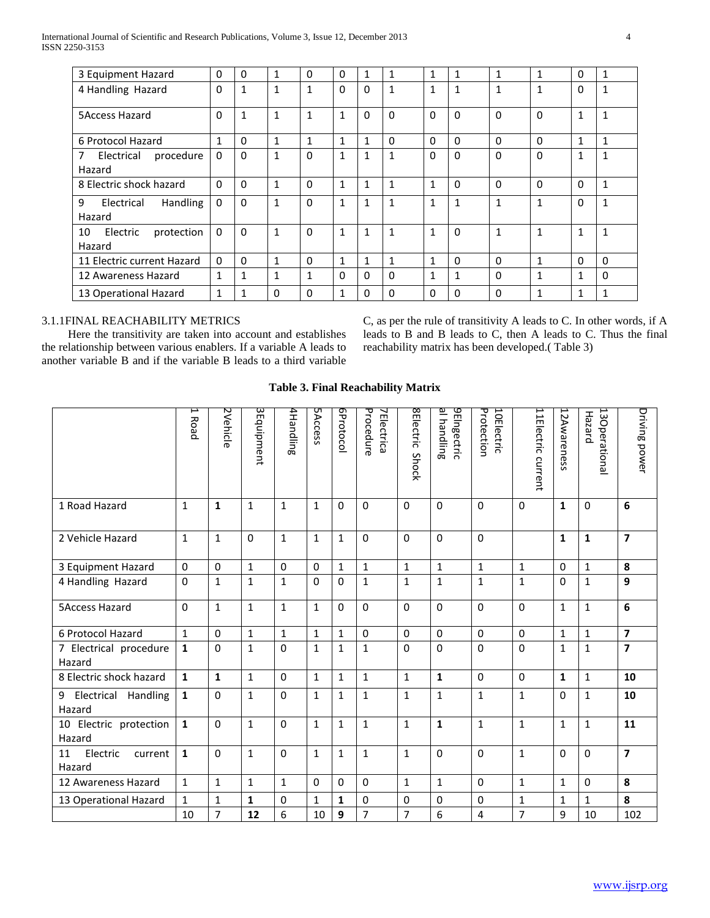| 3 Equipment Hazard                 | $\Omega$     | $\Omega$     |              | $\mathbf{0}$ | $\Omega$     | 1            | 1            | 1            | 1            | $\mathbf{1}$ | 1            | 0            | 1            |
|------------------------------------|--------------|--------------|--------------|--------------|--------------|--------------|--------------|--------------|--------------|--------------|--------------|--------------|--------------|
| 4 Handling Hazard                  | $\Omega$     | $\mathbf{1}$ | $\mathbf{1}$ | $\mathbf{1}$ | $\Omega$     | $\Omega$     | $\mathbf{1}$ | 1            | 1            | 1            | 1            | $\Omega$     | $\mathbf{1}$ |
|                                    |              |              |              |              |              |              |              |              |              |              |              |              |              |
| <b>5Access Hazard</b>              | $\Omega$     | 1            | $\mathbf{1}$ | 1            | $\mathbf{1}$ | 0            | $\Omega$     | $\Omega$     | $\Omega$     | $\Omega$     | $\Omega$     | $\mathbf{1}$ | $\mathbf{1}$ |
| 6 Protocol Hazard                  | $\mathbf{1}$ | $\Omega$     | $\mathbf{1}$ | 1            | $\mathbf{1}$ | 1            | $\Omega$     | $\Omega$     | $\Omega$     | $\Omega$     | $\Omega$     | 1            | 1            |
| Electrical<br>procedure<br>7       | $\mathbf{0}$ | $\Omega$     | 1            | $\Omega$     | 1            | $\mathbf{1}$ | 1            | $\Omega$     | $\Omega$     | $\Omega$     | 0            | 1            | $\mathbf{1}$ |
| Hazard                             |              |              |              |              |              |              |              |              |              |              |              |              |              |
| 8 Electric shock hazard            | $\Omega$     | $\Omega$     | $\mathbf{1}$ | $\Omega$     | $\mathbf{1}$ | $\mathbf{1}$ | $\mathbf{1}$ | 1            | $\Omega$     | $\Omega$     | $\Omega$     | 0            | $\mathbf{1}$ |
| <b>Handling</b><br>9<br>Electrical | $\Omega$     | $\Omega$     | $\mathbf{1}$ | $\Omega$     | $\mathbf{1}$ | 1            | $\mathbf{1}$ | $\mathbf{1}$ | $\mathbf{1}$ | $\mathbf{1}$ | $\mathbf{1}$ | 0            | $\mathbf{1}$ |
| Hazard                             |              |              |              |              |              |              |              |              |              |              |              |              |              |
| 10<br>Electric<br>protection       | $\mathbf{0}$ | $\Omega$     | 1            | $\Omega$     | $\mathbf{1}$ | 1            | 1            | 1            | $\Omega$     | 1            | 1            | $\mathbf{1}$ | 1            |
| Hazard                             |              |              |              |              |              |              |              |              |              |              |              |              |              |
| 11 Electric current Hazard         | $\Omega$     | $\mathbf{0}$ | 1            | $\mathbf{0}$ | 1            | 1            | 1            | 1            | $\Omega$     | $\Omega$     | 1            | 0            | $\Omega$     |
| 12 Awareness Hazard                | 1            | 1            | ◢            | $\mathbf{1}$ | $\Omega$     | 0            | $\Omega$     | 1            | 1            | $\Omega$     | 1            | 1            | $\Omega$     |
| 13 Operational Hazard              | 1            |              | 0            | $\Omega$     | 1            | 0            | $\Omega$     | $\Omega$     | <sup>0</sup> | $\Omega$     | 1            | 1            | 1            |

# 3.1.1FINAL REACHABILITY METRICS

 Here the transitivity are taken into account and establishes the relationship between various enablers. If a variable A leads to another variable B and if the variable B leads to a third variable

C, as per the rule of transitivity A leads to C. In other words, if A leads to B and B leads to C, then A leads to C. Thus the final reachability matrix has been developed.( Table 3)

# **Table 3. Final Reachability Matrix**

|                                     | I<br>Road    | 2Vehicle     | 3Equipment   | 4Handling    | <b>5Access</b> | <b>GProtocol</b> | Procedure<br><b>7Electrica</b> | <b>SElectric</b><br>Shock | al handling<br><b>JEIngectric</b> | Protection<br>10Electric | 11Electric current | 12Awareness  | 13 Operational<br>Hazard | Driving power           |
|-------------------------------------|--------------|--------------|--------------|--------------|----------------|------------------|--------------------------------|---------------------------|-----------------------------------|--------------------------|--------------------|--------------|--------------------------|-------------------------|
| 1 Road Hazard                       | 1            | $\mathbf{1}$ | $\mathbf{1}$ | $\mathbf{1}$ | $\mathbf{1}$   | 0                | $\mathbf{0}$                   | $\Omega$                  | $\Omega$                          | $\Omega$                 | $\Omega$           | $\mathbf{1}$ | $\Omega$                 | 6                       |
| 2 Vehicle Hazard                    | $\mathbf{1}$ | $\mathbf{1}$ | $\mathbf 0$  | $\mathbf{1}$ | $\mathbf{1}$   | $\mathbf{1}$     | $\mathbf 0$                    | $\Omega$                  | $\mathbf 0$                       | $\mathbf 0$              |                    | $\mathbf{1}$ | $\mathbf{1}$             | $\overline{7}$          |
| 3 Equipment Hazard                  | $\mathbf 0$  | $\mathbf 0$  | $\mathbf{1}$ | $\pmb{0}$    | 0              | $\mathbf{1}$     | $\mathbf{1}$                   | $\mathbf{1}$              | $\mathbf 1$                       | $\mathbf{1}$             | $\mathbf{1}$       | $\mathbf 0$  | $\mathbf 1$              | 8                       |
| 4 Handling Hazard                   | $\mathbf 0$  | $\mathbf{1}$ | $\mathbf{1}$ | $\mathbf{1}$ | $\mathbf 0$    | $\Omega$         | $\mathbf{1}$                   | $\mathbf{1}$              | $\mathbf{1}$                      | $\mathbf{1}$             | $\mathbf{1}$       | $\mathbf 0$  | $\mathbf 1$              | $\overline{9}$          |
| <b>5Access Hazard</b>               | $\Omega$     | $\mathbf{1}$ | $\mathbf{1}$ | $\mathbf{1}$ | $\mathbf{1}$   | 0                | $\mathbf 0$                    | $\Omega$                  | $\Omega$                          | $\Omega$                 | $\Omega$           | $\mathbf{1}$ | $\mathbf{1}$             | 6                       |
| 6 Protocol Hazard                   | $\mathbf{1}$ | $\Omega$     | $\mathbf{1}$ | $\mathbf{1}$ | $\mathbf{1}$   | $\mathbf{1}$     | $\Omega$                       | 0                         | $\mathbf 0$                       | $\mathbf 0$              | $\mathbf 0$        | $\mathbf{1}$ | $\mathbf 1$              | $\overline{7}$          |
| 7 Electrical procedure<br>Hazard    | $\mathbf{1}$ | $\mathbf 0$  | $\mathbf{1}$ | $\mathbf 0$  | $\mathbf{1}$   | $\mathbf{1}$     | $\mathbf{1}$                   | $\mathbf 0$               | $\mathbf 0$                       | $\mathbf 0$              | 0                  | $\mathbf{1}$ | $\mathbf{1}$             | $\overline{\mathbf{z}}$ |
| 8 Electric shock hazard             | $\mathbf{1}$ | $\mathbf{1}$ | $\mathbf{1}$ | $\mathbf{0}$ | $\mathbf{1}$   | $\mathbf{1}$     | $\mathbf{1}$                   | $\mathbf{1}$              | $\mathbf{1}$                      | $\Omega$                 | $\Omega$           | $\mathbf{1}$ | $\mathbf{1}$             | 10                      |
| Electrical Handling<br>9<br>Hazard  | $\mathbf{1}$ | $\mathbf 0$  | $\mathbf{1}$ | $\mathbf 0$  | $\mathbf{1}$   | $\mathbf{1}$     | $\mathbf{1}$                   | $\mathbf{1}$              | $\mathbf{1}$                      | $\mathbf{1}$             | $\mathbf{1}$       | $\Omega$     | $\mathbf{1}$             | 10                      |
| 10 Electric protection<br>Hazard    | $\mathbf 1$  | $\mathbf 0$  | $\mathbf{1}$ | $\mathbf 0$  | 1              | 1                | $\mathbf{1}$                   | $\mathbf{1}$              | $\mathbf{1}$                      | $\mathbf{1}$             | $\mathbf{1}$       | 1            | $\mathbf{1}$             | 11                      |
| Electric<br>11<br>current<br>Hazard | $\mathbf{1}$ | $\mathbf 0$  | $\mathbf{1}$ | $\mathbf{0}$ | $\mathbf{1}$   | $\mathbf{1}$     | $\mathbf{1}$                   | $\mathbf{1}$              | $\Omega$                          | $\Omega$                 | $\mathbf{1}$       | $\Omega$     | $\Omega$                 | $\overline{7}$          |
| 12 Awareness Hazard                 | $\mathbf{1}$ | $\mathbf{1}$ | $\mathbf{1}$ | $\mathbf{1}$ | $\mathbf 0$    | $\Omega$         | $\mathbf 0$                    | $\mathbf{1}$              | $\mathbf{1}$                      | $\mathbf{0}$             | $\mathbf{1}$       | $\mathbf{1}$ | $\mathbf 0$              | 8                       |
| 13 Operational Hazard               | $\mathbf{1}$ | $\mathbf{1}$ | $\mathbf{1}$ | $\mathbf 0$  | 1              | 1                | $\mathbf 0$                    | 0                         | 0                                 | $\mathbf 0$              | $\mathbf{1}$       | $\mathbf{1}$ | $\mathbf{1}$             | 8                       |
|                                     | 10           | 7            | 12           | 6            | 10             | 9                | $\overline{7}$                 | $\overline{7}$            | 6                                 | 4                        | $\overline{7}$     | 9            | 10                       | 102                     |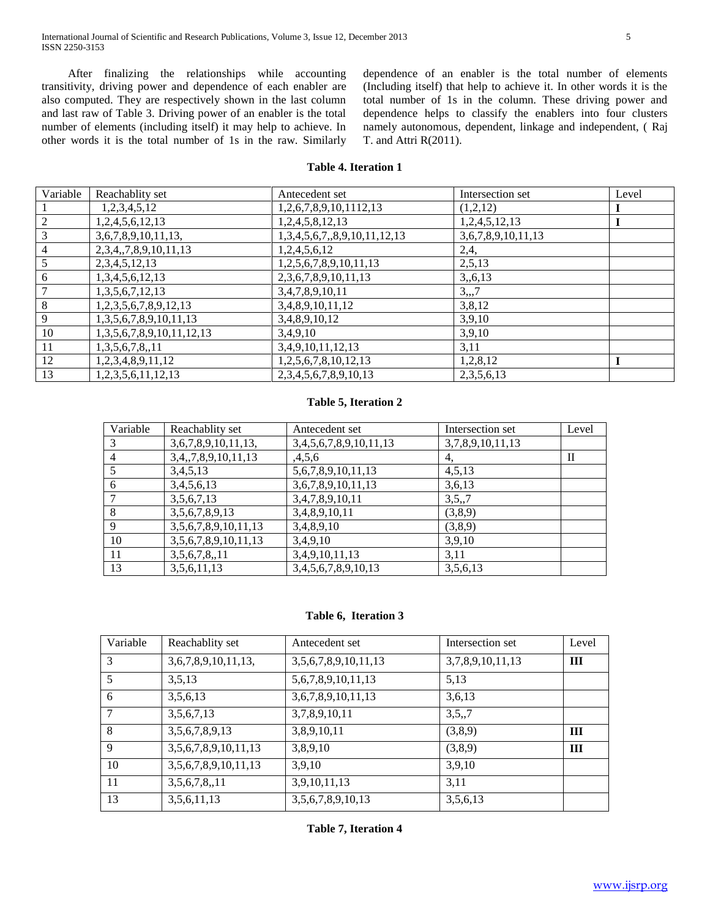After finalizing the relationships while accounting transitivity, driving power and dependence of each enabler are also computed. They are respectively shown in the last column and last raw of Table 3. Driving power of an enabler is the total number of elements (including itself) it may help to achieve. In other words it is the total number of 1s in the raw. Similarly dependence of an enabler is the total number of elements (Including itself) that help to achieve it. In other words it is the total number of 1s in the column. These driving power and dependence helps to classify the enablers into four clusters namely autonomous, dependent, linkage and independent, ( Raj T. and Attri R(2011).

# **Table 4. Iteration 1**

| Variable | Reachablity set                     | Antecedent set                 | Intersection set   | Level |
|----------|-------------------------------------|--------------------------------|--------------------|-------|
|          | 1,2,3,4,5,12                        | 1,2,6,7,8,9,10,1112,13         | (1,2,12)           |       |
|          | 1,2,4,5,6,12,13                     | 1,2,4,5,8,12,13                | 1,2,4,5,12,13      |       |
| 3        | 3,6,7,8,9,10,11,13,                 | 1,3,4,5,6,7,,8,9,10,11,12,13   | 3,6,7,8,9,10,11,13 |       |
| 4        | 2, 3, 4, 7, 8, 9, 10, 11, 13        | 1,2,4,5,6,12                   | 2,4,               |       |
|          | 2,3,4,5,12,13                       | 1,2,5,6,7,8,9,10,11,13         | 2,5,13             |       |
| 6        | 1,3,4,5,6,12,13                     | 2,3,6,7,8,9,10,11,13           | 3, 6, 13           |       |
|          | 1,3,5,6,7,12,13                     | 3,4,7,8,9,10,11                | 3, 7               |       |
| 8        | 1,2,3,5,6,7,8,9,12,13               | 3,4,8,9,10,11,12               | 3,8,12             |       |
| 9        | 1,3,5,6,7,8,9,10,11,13              | 3,4,8,9,10,12                  | 3,9,10             |       |
| 10       | 1, 3, 5, 6, 7, 8, 9, 10, 11, 12, 13 | 3,4,9,10                       | 3,9,10             |       |
| 11       | 1,3,5,6,7,8,11                      | 3,4,9,10,11,12,13              | 3,11               |       |
| 12       | 1,2,3,4,8,9,11,12                   | 1,2,5,6,7,8,10,12,13           | 1,2,8,12           |       |
| 13       | 1, 2, 3, 5, 6, 11, 12, 13           | 2, 3, 4, 5, 6, 7, 8, 9, 10, 13 | 2, 3, 5, 6, 13     |       |

## **Table 5, Iteration 2**

| Variable | Reachablity set      | Antecedent set            | Intersection set | Level |
|----------|----------------------|---------------------------|------------------|-------|
|          | 3,6,7,8,9,10,11,13,  | 3,4,5,6,7,8,9,10,11,13    | 3,7,8,9,10,11,13 |       |
| 4        | 3,4,,7,8,9,10,11,13  | ,4,5,6                    | 4,               | П     |
| 5        | 3,4,5,13             | 5, 6, 7, 8, 9, 10, 11, 13 | 4,5,13           |       |
| 6        | 3,4,5,6,13           | 3, 6, 7, 8, 9, 10, 11, 13 | 3,6,13           |       |
|          | 3,5,6,7,13           | 3,4,7,8,9,10,11           | 3,5,7            |       |
| 8        | 3,5,6,7,8,9,13       | 3,4,8,9,10,11             | (3,8,9)          |       |
| 9        | 3,5,6,7,8,9,10,11,13 | 3,4,8,9,10                | (3,8,9)          |       |
| 10       | 3,5,6,7,8,9,10,11,13 | 3,4,9,10                  | 3,9,10           |       |
| 11       | 3,5,6,7,8,11         | 3,4,9,10,11,13            | 3,11             |       |
| 13       | 3,5,6,11,13          | 3,4,5,6,7,8,9,10,13       | 3,5,6,13         |       |

#### **Table 6, Iteration 3**

| Variable | Reachablity set      | Antecedent set            | Intersection set | Level |
|----------|----------------------|---------------------------|------------------|-------|
| 3        | 3,6,7,8,9,10,11,13,  | 3,5,6,7,8,9,10,11,13      | 3,7,8,9,10,11,13 | Ш     |
| 5        | 3,5,13               | 5, 6, 7, 8, 9, 10, 11, 13 | 5,13             |       |
| 6        | 3,5,6,13             | 3,6,7,8,9,10,11,13        | 3,6,13           |       |
| 7        | 3,5,6,7,13           | 3,7,8,9,10,11             | 3,5,7            |       |
| 8        | 3,5,6,7,8,9,13       | 3,8,9,10,11               | (3,8,9)          | Ш     |
| 9        | 3,5,6,7,8,9,10,11,13 | 3,8,9,10                  | (3,8,9)          | Ш     |
| 10       | 3,5,6,7,8,9,10,11,13 | 3,9,10                    | 3,9,10           |       |
| 11       | 3,5,6,7,8,,11        | 3,9,10,11,13              | 3,11             |       |
| 13       | 3,5,6,11,13          | 3,5,6,7,8,9,10,13         | 3,5,6,13         |       |

**Table 7, Iteration 4**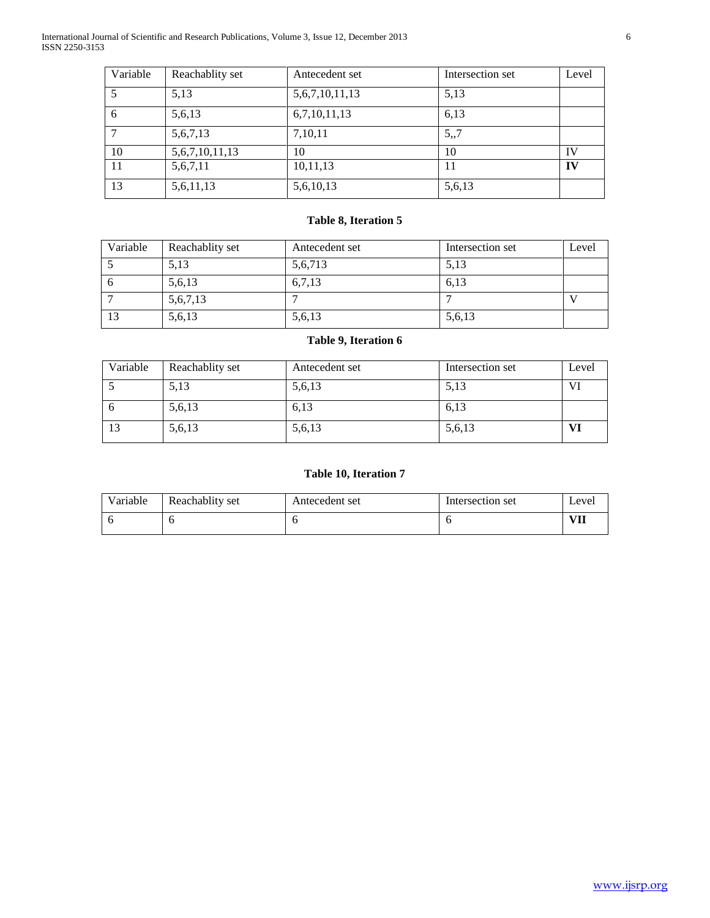International Journal of Scientific and Research Publications, Volume 3, Issue 12, December 2013 6 ISSN 2250-3153

| Variable | Reachablity set     | Antecedent set      | Intersection set | Level |
|----------|---------------------|---------------------|------------------|-------|
|          | 5,13                | 5, 6, 7, 10, 11, 13 | 5,13             |       |
| 6        | 5,6,13              | 6,7,10,11,13        | 6,13             |       |
|          | 5,6,7,13            | 7,10,11             | 5,7              |       |
| 10       | 5, 6, 7, 10, 11, 13 | 10                  | 10               | IV    |
| 11       | 5,6,7,11            | 10,11,13            | 11               | IV    |
| 13       | 5,6,11,13           | 5,6,10,13           | 5,6,13           |       |

# **Table 8, Iteration 5**

| Variable | Reachablity set | Antecedent set | Intersection set | Level |
|----------|-----------------|----------------|------------------|-------|
|          | 5,13            | 5,6,713        | 5,13             |       |
| _ ი      | 5,6,13          | 6,7,13         | 6,13             |       |
|          | 5,6,7,13        |                |                  |       |
| -13      | 5,6,13          | 5,6,13         | 5,6,13           |       |

# **Table 9, Iteration 6**

| Variable | Reachablity set | Antecedent set | Intersection set | Level |
|----------|-----------------|----------------|------------------|-------|
|          | 5,13            | 5,6,13         | 5,13             | VI    |
| _ რ      | 5,6,13          | 6,13           | 6,13             |       |
| -13      | 5,6,13          | 5,6,13         | 5,6,13           | VI    |

# **Table 10, Iteration 7**

| Variable | Reachablity set | Antecedent set | Intersection set | Level     |
|----------|-----------------|----------------|------------------|-----------|
|          |                 |                |                  | уTЪ.<br>. |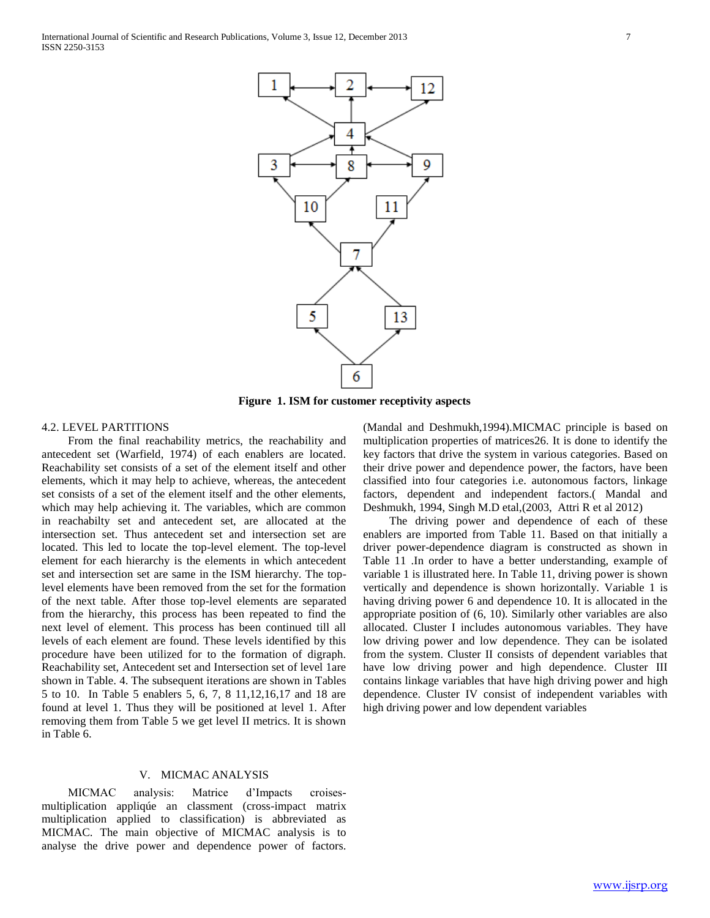

**Figure 1. ISM for customer receptivity aspects**

# 4.2. LEVEL PARTITIONS

 From the final reachability metrics, the reachability and antecedent set (Warfield, 1974) of each enablers are located. Reachability set consists of a set of the element itself and other elements, which it may help to achieve, whereas, the antecedent set consists of a set of the element itself and the other elements, which may help achieving it. The variables, which are common in reachabilty set and antecedent set, are allocated at the intersection set. Thus antecedent set and intersection set are located. This led to locate the top-level element. The top-level element for each hierarchy is the elements in which antecedent set and intersection set are same in the ISM hierarchy. The toplevel elements have been removed from the set for the formation of the next table. After those top-level elements are separated from the hierarchy, this process has been repeated to find the next level of element. This process has been continued till all levels of each element are found. These levels identified by this procedure have been utilized for to the formation of digraph. Reachability set, Antecedent set and Intersection set of level 1are shown in Table. 4. The subsequent iterations are shown in Tables 5 to 10. In Table 5 enablers 5, 6, 7, 8 11,12,16,17 and 18 are found at level 1. Thus they will be positioned at level 1. After removing them from Table 5 we get level II metrics. It is shown in Table 6.

#### V. MICMAC ANALYSIS

 MICMAC analysis: Matrice d'Impacts croisesmultiplication appliqúe an classment (cross-impact matrix multiplication applied to classification) is abbreviated as MICMAC. The main objective of MICMAC analysis is to analyse the drive power and dependence power of factors.

(Mandal and Deshmukh,1994).MICMAC principle is based on multiplication properties of matrices26. It is done to identify the key factors that drive the system in various categories. Based on their drive power and dependence power, the factors, have been classified into four categories i.e. autonomous factors, linkage factors, dependent and independent factors.( Mandal and Deshmukh, 1994, Singh M.D etal,(2003, Attri R et al 2012)

 The driving power and dependence of each of these enablers are imported from Table 11. Based on that initially a driver power-dependence diagram is constructed as shown in Table 11 .In order to have a better understanding, example of variable 1 is illustrated here. In Table 11, driving power is shown vertically and dependence is shown horizontally. Variable 1 is having driving power 6 and dependence 10. It is allocated in the appropriate position of (6, 10). Similarly other variables are also allocated. Cluster I includes autonomous variables. They have low driving power and low dependence. They can be isolated from the system. Cluster II consists of dependent variables that have low driving power and high dependence. Cluster III contains linkage variables that have high driving power and high dependence. Cluster IV consist of independent variables with high driving power and low dependent variables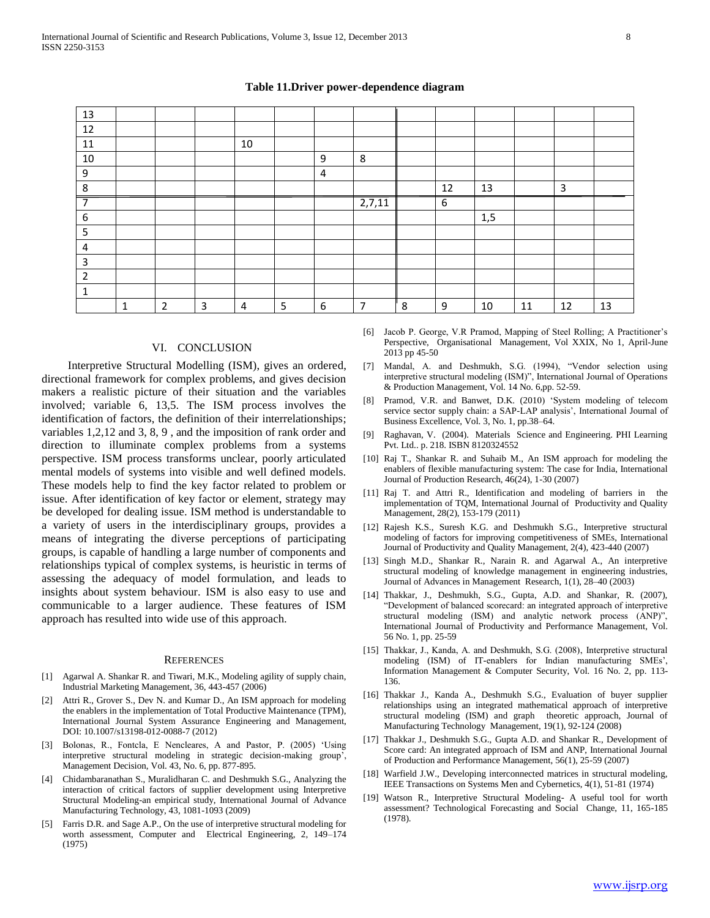# 13 12 11 | | | 10 10 | | | | | | | | 9 | 8 9 4 8 12 13 3 7 2,7,11 6 6 | | | | | | | | | | | | 1,5 5 4 3 2 1 1 2 3 4 5 6 7 8 9 10 11 12 13

#### **Table 11.Driver power-dependence diagram**

#### VI. CONCLUSION

 Interpretive Structural Modelling (ISM), gives an ordered, directional framework for complex problems, and gives decision makers a realistic picture of their situation and the variables involved; variable 6, 13,5. The ISM process involves the identification of factors, the definition of their interrelationships; variables 1,2,12 and 3, 8, 9 , and the imposition of rank order and direction to illuminate complex problems from a systems perspective. ISM process transforms unclear, poorly articulated mental models of systems into visible and well defined models. These models help to find the key factor related to problem or issue. After identification of key factor or element, strategy may be developed for dealing issue. ISM method is understandable to a variety of users in the interdisciplinary groups, provides a means of integrating the diverse perceptions of participating groups, is capable of handling a large number of components and relationships typical of complex systems, is heuristic in terms of assessing the adequacy of model formulation, and leads to insights about system behaviour. ISM is also easy to use and communicable to a larger audience. These features of ISM approach has resulted into wide use of this approach.

#### **REFERENCES**

- [1] Agarwal A. Shankar R. and Tiwari, M.K., Modeling agility of supply chain, Industrial Marketing Management, 36, 443-457 (2006)
- [2] Attri R., Grover S., Dev N. and Kumar D., An ISM approach for modeling the enablers in the implementation of Total Productive Maintenance (TPM), International Journal System Assurance Engineering and Management, DOI: 10.1007/s13198-012-0088-7 (2012)
- [3] Bolonas, R., Fontcla, E Nencleares, A and Pastor, P. (2005) 'Using interpretive structural modeling in strategic decision-making group', Management Decision, Vol. 43, No. 6, pp. 877-895.
- [4] Chidambaranathan S., Muralidharan C. and Deshmukh S.G., Analyzing the interaction of critical factors of supplier development using Interpretive Structural Modeling-an empirical study, International Journal of Advance Manufacturing Technology, 43, 1081-1093 (2009)
- [5] Farris D.R. and Sage A.P., On the use of interpretive structural modeling for worth assessment, Computer and Electrical Engineering, 2, 149–174 (1975)
- [6] Jacob P. George, V.R Pramod, Mapping of Steel Rolling; A Practitioner's Perspective, Organisational Management, Vol XXIX, No 1, April-June 2013 pp 45-50
- [7] Mandal, A. and Deshmukh, S.G. (1994), "Vendor selection using interpretive structural modeling (ISM)", International Journal of Operations & Production Management, Vol. 14 No. 6,pp. 52-59.
- [8] Pramod, V.R. and Banwet, D.K. (2010) 'System modeling of telecom service sector supply chain: a SAP-LAP analysis', International Journal of Business Excellence, Vol. 3, No. 1, pp.38–64.
- [9] Raghavan, V. (2004). Materials Science and Engineering. PHI Learning Pvt. Ltd.. p. 218. ISBN 8120324552
- [10] Raj T., Shankar R. and Suhaib M., An ISM approach for modeling the enablers of flexible manufacturing system: The case for India, International Journal of Production Research, 46(24), 1-30 (2007)
- [11] Raj T. and Attri R., Identification and modeling of barriers in the implementation of TQM, International Journal of Productivity and Quality Management, 28(2), 153-179 (2011)
- [12] Rajesh K.S., Suresh K.G. and Deshmukh S.G., Interpretive structural modeling of factors for improving competitiveness of SMEs, International Journal of Productivity and Quality Management, 2(4), 423-440 (2007)
- [13] Singh M.D., Shankar R., Narain R. and Agarwal A., An interpretive structural modeling of knowledge management in engineering industries, Journal of Advances in Management Research, 1(1), 28–40 (2003)
- [14] Thakkar, J., Deshmukh, S.G., Gupta, A.D. and Shankar, R. (2007), "Development of balanced scorecard: an integrated approach of interpretive structural modeling (ISM) and analytic network process (ANP)", International Journal of Productivity and Performance Management, Vol. 56 No. 1, pp. 25-59
- [15] Thakkar, J., Kanda, A. and Deshmukh, S.G. (2008), Interpretive structural modeling (ISM) of IT-enablers for Indian manufacturing SMEs', Information Management & Computer Security, Vol. 16 No. 2, pp. 113- 136.
- [16] Thakkar J., Kanda A., Deshmukh S.G., Evaluation of buyer supplier relationships using an integrated mathematical approach of interpretive structural modeling (ISM) and graph theoretic approach, Journal of Manufacturing Technology Management, 19(1), 92-124 (2008)
- [17] Thakkar J., Deshmukh S.G., Gupta A.D. and Shankar R., Development of Score card: An integrated approach of ISM and ANP, International Journal of Production and Performance Management, 56(1), 25-59 (2007)
- [18] Warfield J.W., Developing interconnected matrices in structural modeling, IEEE Transactions on Systems Men and Cybernetics, 4(1), 51-81 (1974)
- [19] Watson R., Interpretive Structural Modeling- A useful tool for worth assessment? Technological Forecasting and Social Change, 11, 165-185 (1978).